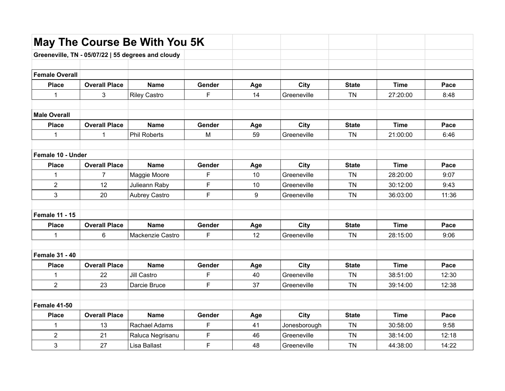|                       |                      | May The Course Be With You 5K                      |        |                 |              |              |             |       |
|-----------------------|----------------------|----------------------------------------------------|--------|-----------------|--------------|--------------|-------------|-------|
|                       |                      | Greeneville, TN - 05/07/22   55 degrees and cloudy |        |                 |              |              |             |       |
|                       |                      |                                                    |        |                 |              |              |             |       |
| <b>Female Overall</b> |                      |                                                    |        |                 |              |              |             |       |
| <b>Place</b>          | <b>Overall Place</b> | <b>Name</b>                                        | Gender | Age             | City         | <b>State</b> | <b>Time</b> | Pace  |
| $\mathbf{1}$          | 3                    | <b>Riley Castro</b>                                | F      | 14              | Greeneville  | <b>TN</b>    | 27:20:00    | 8:48  |
| <b>Male Overall</b>   |                      |                                                    |        |                 |              |              |             |       |
| <b>Place</b>          | <b>Overall Place</b> | <b>Name</b>                                        | Gender | Age             | City         | <b>State</b> | <b>Time</b> | Pace  |
| 1                     | $\mathbf{1}$         | <b>Phil Roberts</b>                                | M      | 59              | Greeneville  | <b>TN</b>    | 21:00:00    | 6:46  |
|                       |                      |                                                    |        |                 |              |              |             |       |
| Female 10 - Under     |                      |                                                    |        |                 |              |              |             |       |
| <b>Place</b>          | <b>Overall Place</b> | <b>Name</b>                                        | Gender | Age             | City         | <b>State</b> | <b>Time</b> | Pace  |
| 1                     | $\overline{7}$       | Maggie Moore                                       | F      | 10              | Greeneville  | <b>TN</b>    | 28:20:00    | 9:07  |
| $\overline{2}$        | 12                   | Julieann Raby                                      | F      | 10              | Greeneville  | <b>TN</b>    | 30:12:00    | 9:43  |
| 3                     | 20                   | Aubrey Castro                                      | F      | 9               | Greeneville  | <b>TN</b>    | 36:03:00    | 11:36 |
| <b>Female 11 - 15</b> |                      |                                                    |        |                 |              |              |             |       |
| <b>Place</b>          | <b>Overall Place</b> | <b>Name</b>                                        | Gender | Age             | <b>City</b>  | <b>State</b> | <b>Time</b> | Pace  |
| $\mathbf{1}$          | 6                    | Mackenzie Castro                                   | F      | 12 <sup>2</sup> | Greeneville  | <b>TN</b>    | 28:15:00    | 9:06  |
|                       |                      |                                                    |        |                 |              |              |             |       |
| <b>Female 31 - 40</b> |                      |                                                    |        |                 |              |              |             |       |
| <b>Place</b>          | <b>Overall Place</b> | <b>Name</b>                                        | Gender | Age             | City         | <b>State</b> | <b>Time</b> | Pace  |
| $\mathbf{1}$          | 22                   | <b>Jill Castro</b>                                 | F      | 40              | Greeneville  | <b>TN</b>    | 38:51:00    | 12:30 |
| $\overline{2}$        | 23                   | Darcie Bruce                                       | F      | 37              | Greeneville  | <b>TN</b>    | 39:14:00    | 12:38 |
| <b>Female 41-50</b>   |                      |                                                    |        |                 |              |              |             |       |
| <b>Place</b>          | <b>Overall Place</b> | <b>Name</b>                                        | Gender | Age             | <b>City</b>  | <b>State</b> | <b>Time</b> | Pace  |
| $\mathbf{1}$          | 13                   | Rachael Adams                                      | F      | 41              | Jonesborough | <b>TN</b>    | 30:58:00    | 9:58  |
| $\overline{c}$        | 21                   | Raluca Negrisanu                                   | F      | 46              | Greeneville  | <b>TN</b>    | 38:14:00    | 12:18 |
| 3                     | 27                   | Lisa Ballast                                       | F      | 48              | Greeneville  | <b>TN</b>    | 44:38:00    | 14:22 |